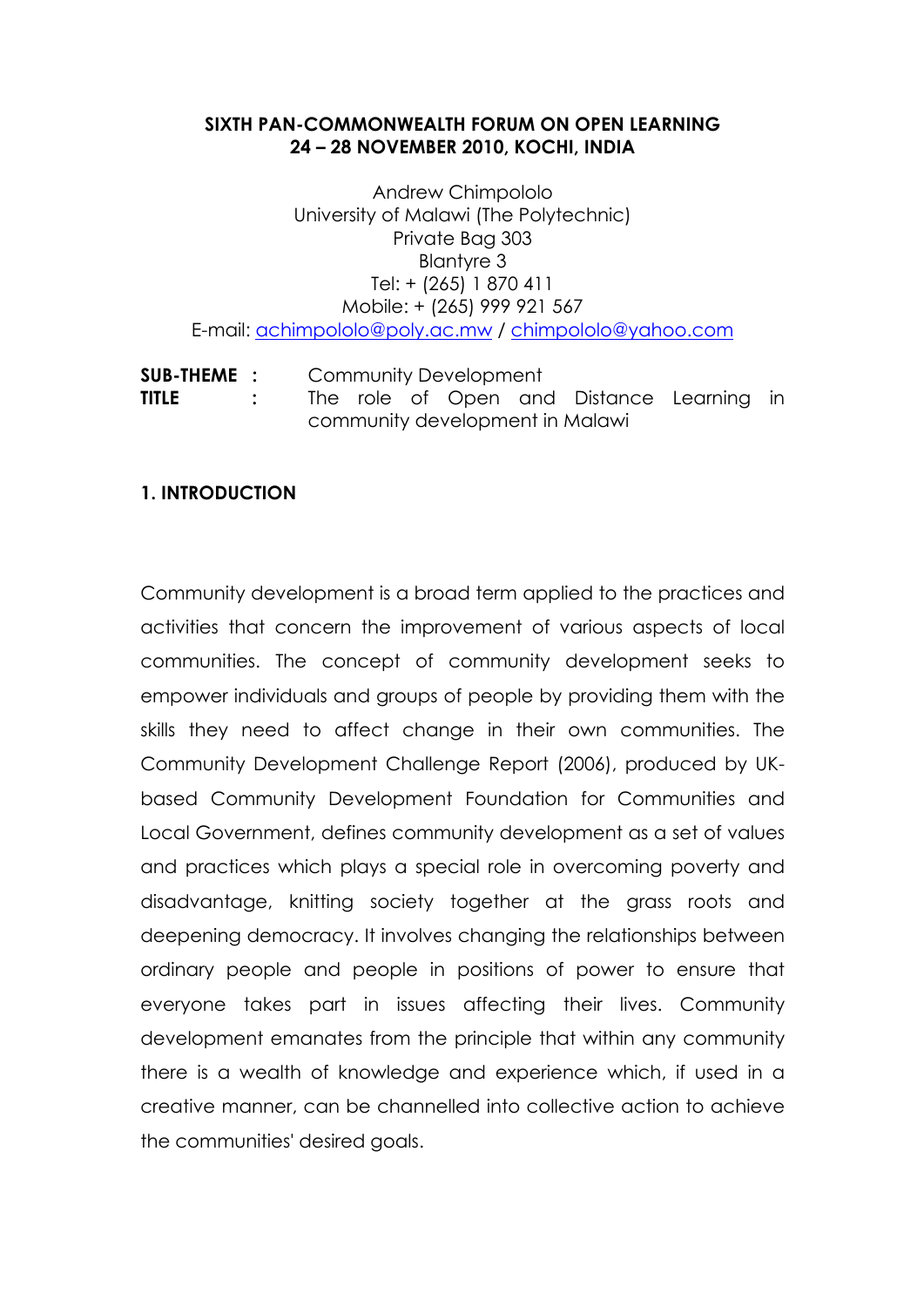## **SIXTH PAN-COMMONWEALTH FORUM ON OPEN LEARNING 24 – 28 NOVEMBER 2010, KOCHI, INDIA**

Andrew Chimpololo University of Malawi (The Polytechnic) Private Bag 303 Blantyre 3 Tel: + (265) 1 870 411 Mobile: + (265) 999 921 567 E-mail: achimpololo@poly.ac.mw / chimpololo@yahoo.com

| <b>SUB-THEME :</b> | Community Development           |  |  |  |  |  |                                           |  |
|--------------------|---------------------------------|--|--|--|--|--|-------------------------------------------|--|
| TITLE :            |                                 |  |  |  |  |  | The role of Open and Distance Learning in |  |
|                    | community development in Malawi |  |  |  |  |  |                                           |  |

## **1. INTRODUCTION**

Community development is a broad term applied to the practices and activities that concern the improvement of various aspects of local communities. The concept of community development seeks to empower individuals and groups of people by providing them with the skills they need to affect change in their own communities. The Community Development Challenge Report (2006), produced by UKbased Community Development Foundation for Communities and Local Government, defines community development as a set of values and practices which plays a special role in overcoming poverty and disadvantage, knitting society together at the grass roots and deepening democracy. It involves changing the relationships between ordinary people and people in positions of power to ensure that everyone takes part in issues affecting their lives. Community development emanates from the principle that within any community there is a wealth of knowledge and experience which, if used in a creative manner, can be channelled into collective action to achieve the communities' desired goals.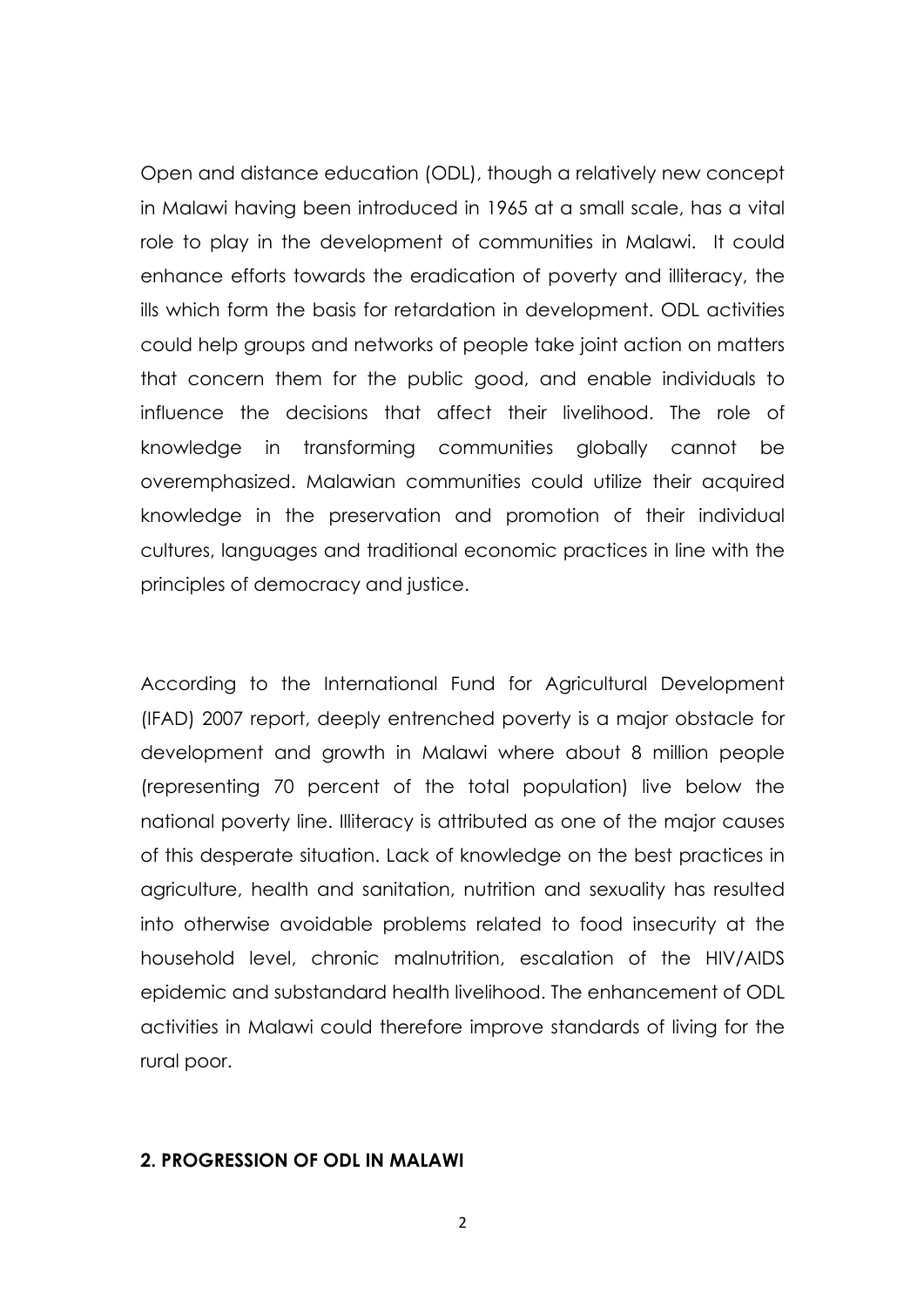Open and distance education (ODL), though a relatively new concept in Malawi having been introduced in 1965 at a small scale, has a vital role to play in the development of communities in Malawi. It could enhance efforts towards the eradication of poverty and illiteracy, the ills which form the basis for retardation in development. ODL activities could help groups and networks of people take joint action on matters that concern them for the public good, and enable individuals to influence the decisions that affect their livelihood. The role of knowledge in transforming communities globally cannot be overemphasized. Malawian communities could utilize their acquired knowledge in the preservation and promotion of their individual cultures, languages and traditional economic practices in line with the principles of democracy and justice.

According to the International Fund for Agricultural Development (IFAD) 2007 report, deeply entrenched poverty is a major obstacle for development and growth in Malawi where about 8 million people (representing 70 percent of the total population) live below the national poverty line. Illiteracy is attributed as one of the major causes of this desperate situation. Lack of knowledge on the best practices in agriculture, health and sanitation, nutrition and sexuality has resulted into otherwise avoidable problems related to food insecurity at the household level, chronic malnutrition, escalation of the HIV/AIDS epidemic and substandard health livelihood. The enhancement of ODL activities in Malawi could therefore improve standards of living for the rural poor.

### **2. PROGRESSION OF ODL IN MALAWI**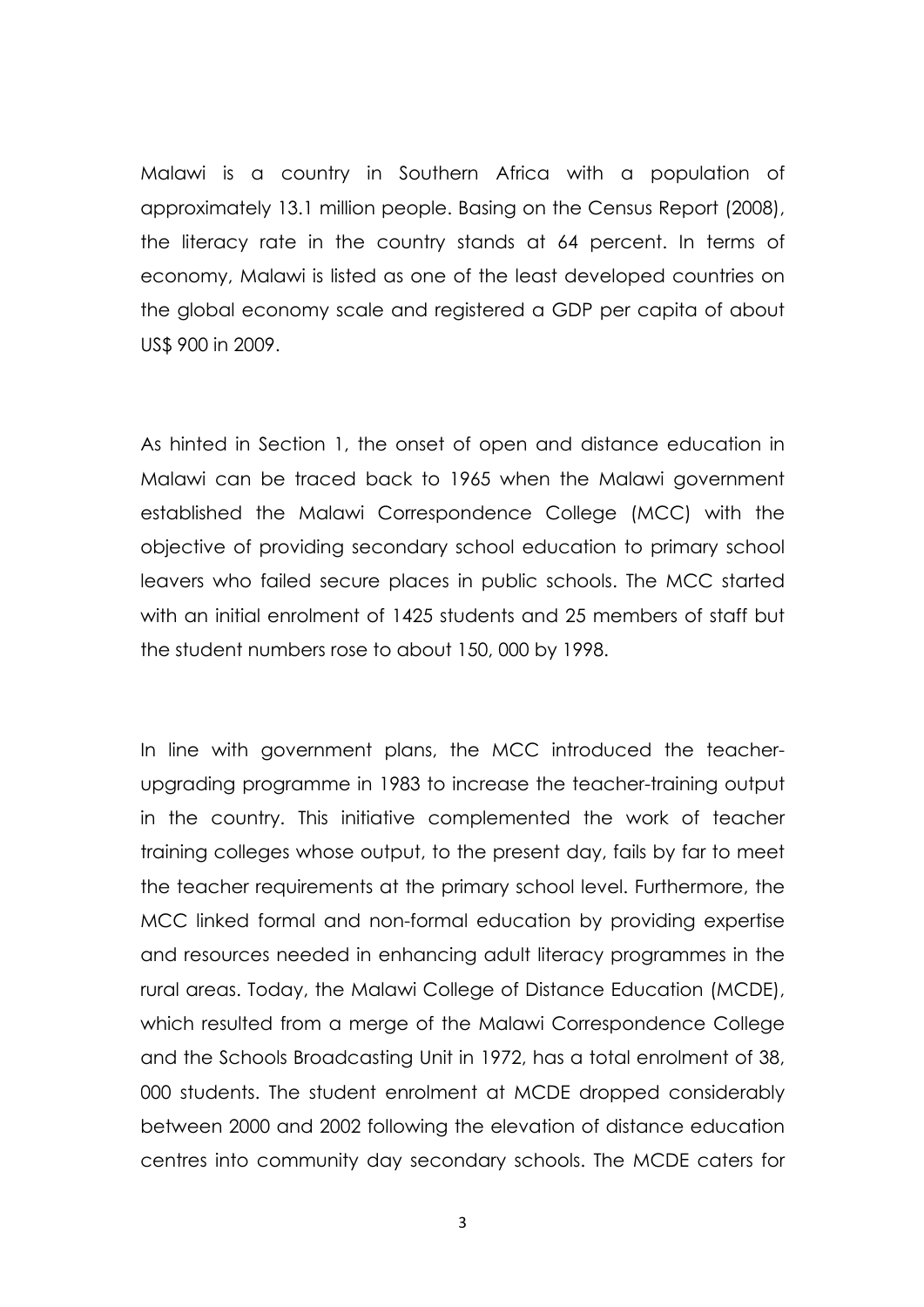Malawi is a country in Southern Africa with a population of approximately 13.1 million people. Basing on the Census Report (2008), the literacy rate in the country stands at 64 percent. In terms of economy, Malawi is listed as one of the least developed countries on the global economy scale and registered a GDP per capita of about US\$ 900 in 2009.

As hinted in Section 1, the onset of open and distance education in Malawi can be traced back to 1965 when the Malawi government established the Malawi Correspondence College (MCC) with the objective of providing secondary school education to primary school leavers who failed secure places in public schools. The MCC started with an initial enrolment of 1425 students and 25 members of staff but the student numbers rose to about 150, 000 by 1998.

In line with government plans, the MCC introduced the teacherupgrading programme in 1983 to increase the teacher-training output in the country. This initiative complemented the work of teacher training colleges whose output, to the present day, fails by far to meet the teacher requirements at the primary school level. Furthermore, the MCC linked formal and non-formal education by providing expertise and resources needed in enhancing adult literacy programmes in the rural areas. Today, the Malawi College of Distance Education (MCDE), which resulted from a merge of the Malawi Correspondence College and the Schools Broadcasting Unit in 1972, has a total enrolment of 38, 000 students. The student enrolment at MCDE dropped considerably between 2000 and 2002 following the elevation of distance education centres into community day secondary schools. The MCDE caters for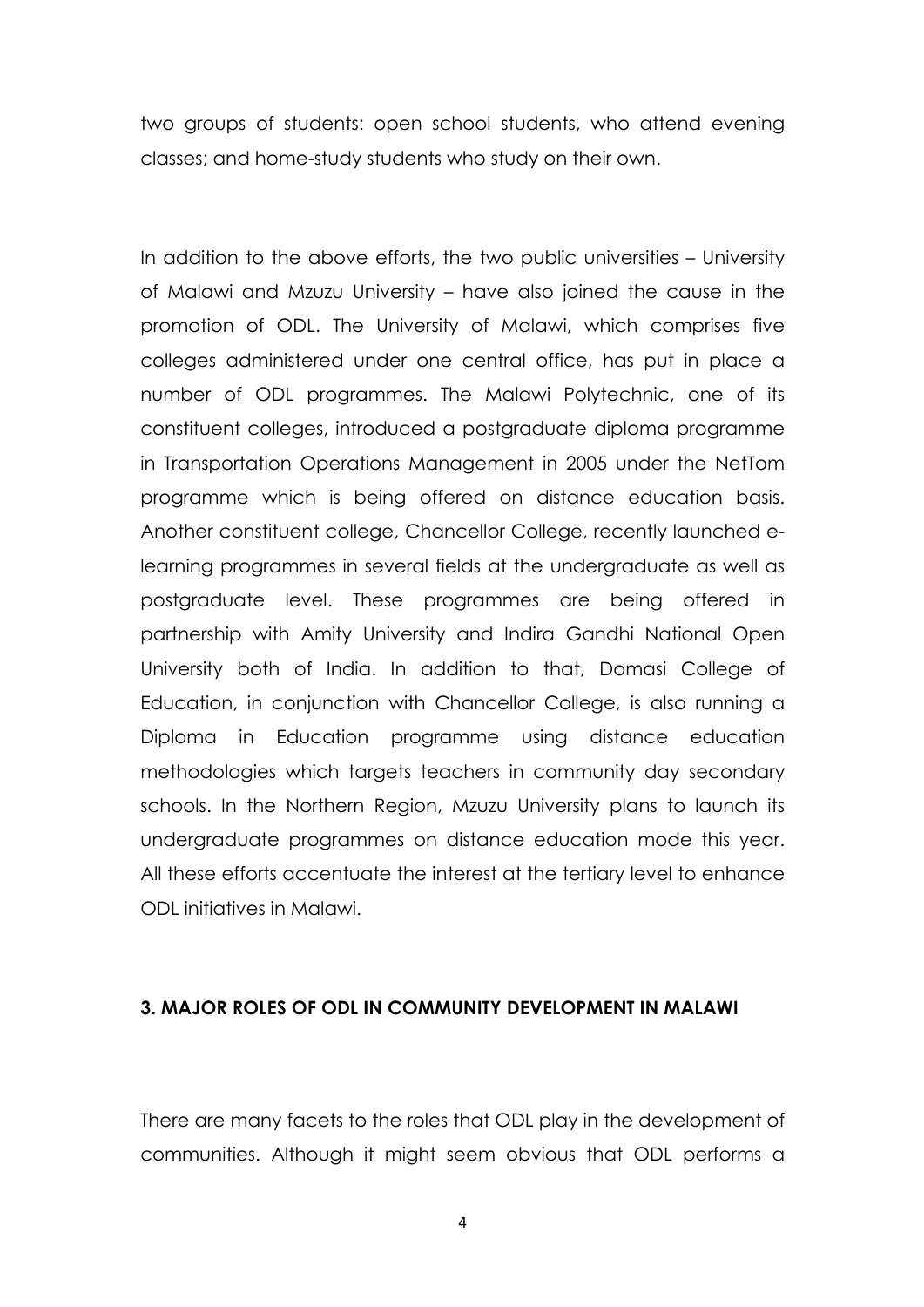two groups of students: open school students, who attend evening classes; and home-study students who study on their own.

In addition to the above efforts, the two public universities – University of Malawi and Mzuzu University – have also joined the cause in the promotion of ODL. The University of Malawi, which comprises five colleges administered under one central office, has put in place a number of ODL programmes. The Malawi Polytechnic, one of its constituent colleges, introduced a postgraduate diploma programme in Transportation Operations Management in 2005 under the NetTom programme which is being offered on distance education basis. Another constituent college, Chancellor College, recently launched elearning programmes in several fields at the undergraduate as well as postgraduate level. These programmes are being offered in partnership with Amity University and Indira Gandhi National Open University both of India. In addition to that, Domasi College of Education, in conjunction with Chancellor College, is also running a Diploma in Education programme using distance education methodologies which targets teachers in community day secondary schools. In the Northern Region, Mzuzu University plans to launch its undergraduate programmes on distance education mode this year. All these efforts accentuate the interest at the tertiary level to enhance ODL initiatives in Malawi.

### **3. MAJOR ROLES OF ODL IN COMMUNITY DEVELOPMENT IN MALAWI**

There are many facets to the roles that ODL play in the development of communities. Although it might seem obvious that ODL performs a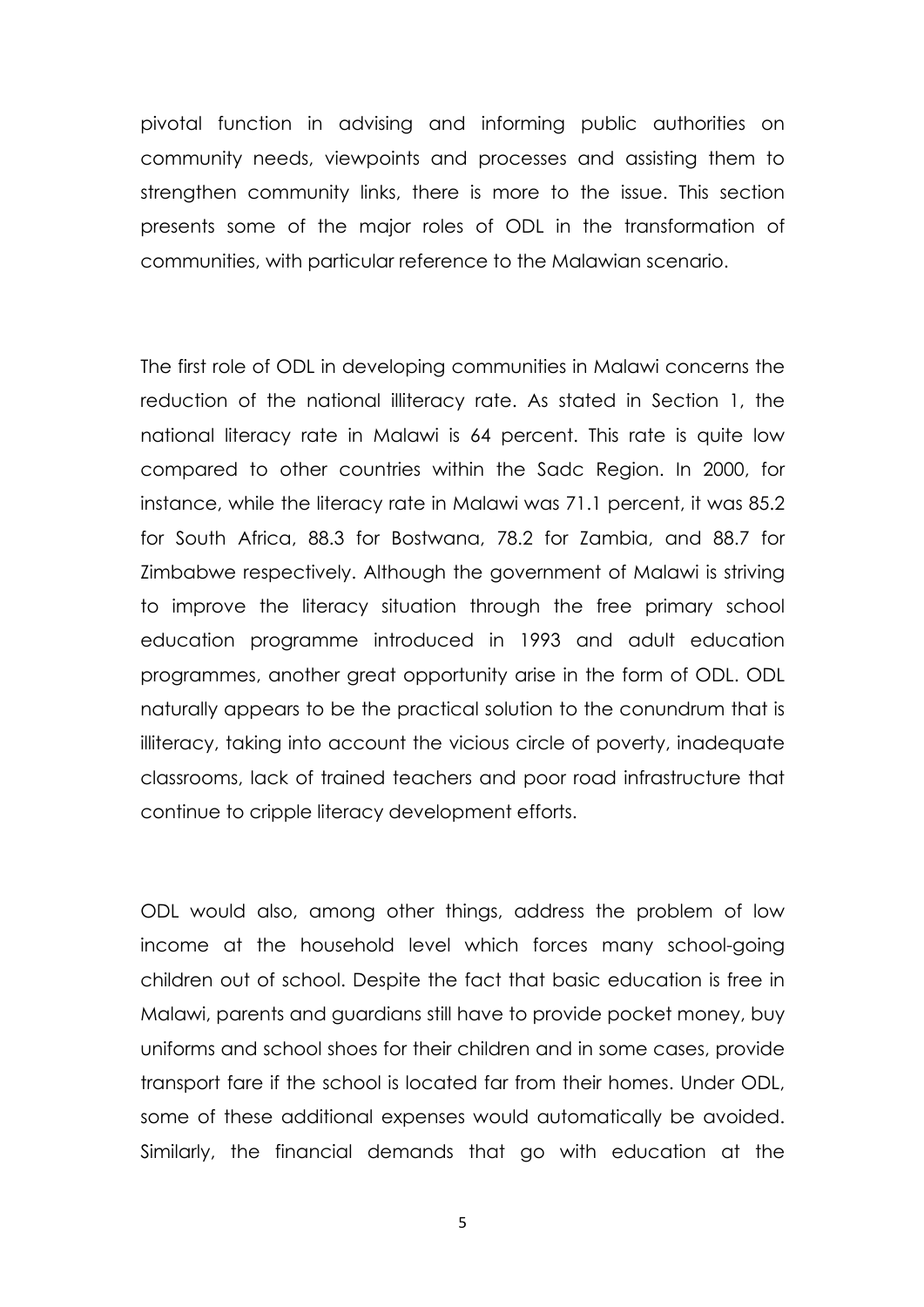pivotal function in advising and informing public authorities on community needs, viewpoints and processes and assisting them to strengthen community links, there is more to the issue. This section presents some of the major roles of ODL in the transformation of communities, with particular reference to the Malawian scenario.

The first role of ODL in developing communities in Malawi concerns the reduction of the national illiteracy rate. As stated in Section 1, the national literacy rate in Malawi is 64 percent. This rate is quite low compared to other countries within the Sadc Region. In 2000, for instance, while the literacy rate in Malawi was 71.1 percent, it was 85.2 for South Africa, 88.3 for Bostwana, 78.2 for Zambia, and 88.7 for Zimbabwe respectively. Although the government of Malawi is striving to improve the literacy situation through the free primary school education programme introduced in 1993 and adult education programmes, another great opportunity arise in the form of ODL. ODL naturally appears to be the practical solution to the conundrum that is illiteracy, taking into account the vicious circle of poverty, inadequate classrooms, lack of trained teachers and poor road infrastructure that continue to cripple literacy development efforts.

ODL would also, among other things, address the problem of low income at the household level which forces many school-going children out of school. Despite the fact that basic education is free in Malawi, parents and guardians still have to provide pocket money, buy uniforms and school shoes for their children and in some cases, provide transport fare if the school is located far from their homes. Under ODL, some of these additional expenses would automatically be avoided. Similarly, the financial demands that go with education at the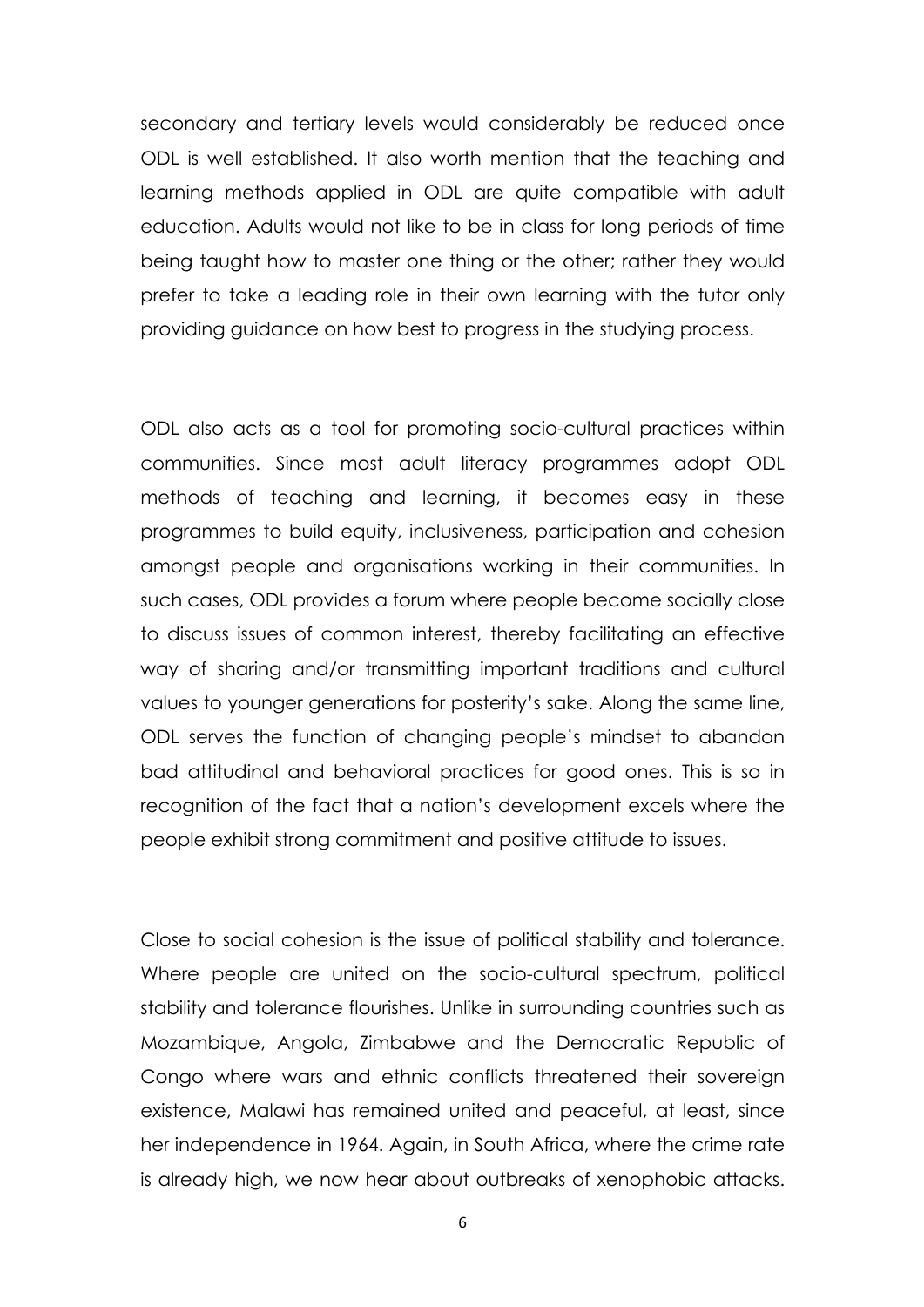secondary and tertiary levels would considerably be reduced once ODL is well established. It also worth mention that the teaching and learning methods applied in ODL are quite compatible with adult education. Adults would not like to be in class for long periods of time being taught how to master one thing or the other; rather they would prefer to take a leading role in their own learning with the tutor only providing guidance on how best to progress in the studying process.

ODL also acts as a tool for promoting socio-cultural practices within communities. Since most adult literacy programmes adopt ODL methods of teaching and learning, it becomes easy in these programmes to build equity, inclusiveness, participation and cohesion amongst people and organisations working in their communities. In such cases, ODL provides a forum where people become socially close to discuss issues of common interest, thereby facilitating an effective way of sharing and/or transmitting important traditions and cultural values to younger generations for posterity's sake. Along the same line, ODL serves the function of changing people's mindset to abandon bad attitudinal and behavioral practices for good ones. This is so in recognition of the fact that a nation's development excels where the people exhibit strong commitment and positive attitude to issues.

Close to social cohesion is the issue of political stability and tolerance. Where people are united on the socio-cultural spectrum, political stability and tolerance flourishes. Unlike in surrounding countries such as Mozambique, Angola, Zimbabwe and the Democratic Republic of Congo where wars and ethnic conflicts threatened their sovereign existence, Malawi has remained united and peaceful, at least, since her independence in 1964. Again, in South Africa, where the crime rate is already high, we now hear about outbreaks of xenophobic attacks.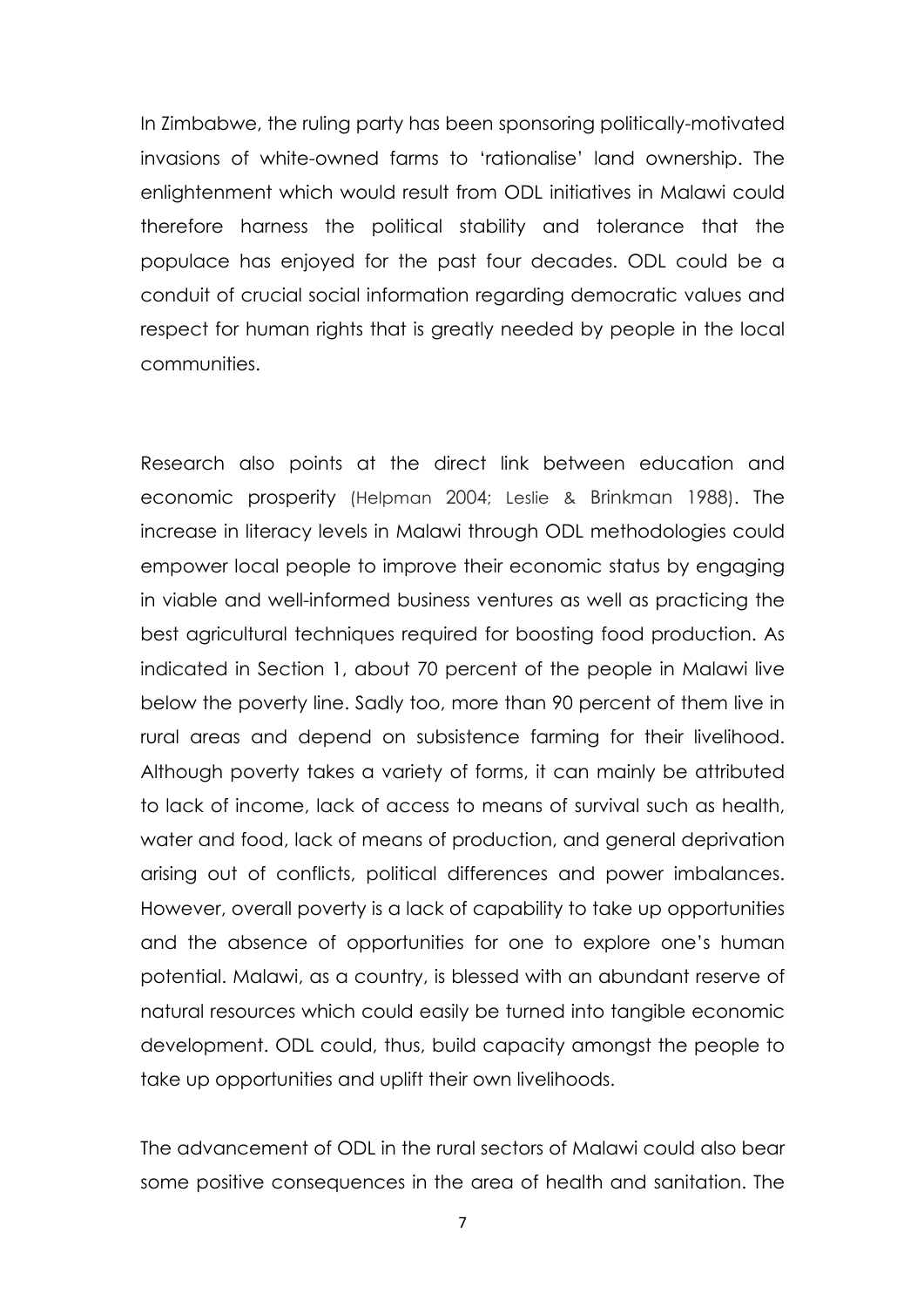In Zimbabwe, the ruling party has been sponsoring politically-motivated invasions of white-owned farms to 'rationalise' land ownership. The enlightenment which would result from ODL initiatives in Malawi could therefore harness the political stability and tolerance that the populace has enjoyed for the past four decades. ODL could be a conduit of crucial social information regarding democratic values and respect for human rights that is greatly needed by people in the local communities.

Research also points at the direct link between education and economic prosperity (Helpman 2004; Leslie & Brinkman 1988). The increase in literacy levels in Malawi through ODL methodologies could empower local people to improve their economic status by engaging in viable and well-informed business ventures as well as practicing the best agricultural techniques required for boosting food production. As indicated in Section 1, about 70 percent of the people in Malawi live below the poverty line. Sadly too, more than 90 percent of them live in rural areas and depend on subsistence farming for their livelihood. Although poverty takes a variety of forms, it can mainly be attributed to lack of income, lack of access to means of survival such as health, water and food, lack of means of production, and general deprivation arising out of conflicts, political differences and power imbalances. However, overall poverty is a lack of capability to take up opportunities and the absence of opportunities for one to explore one's human potential. Malawi, as a country, is blessed with an abundant reserve of natural resources which could easily be turned into tangible economic development. ODL could, thus, build capacity amongst the people to take up opportunities and uplift their own livelihoods.

The advancement of ODL in the rural sectors of Malawi could also bear some positive consequences in the area of health and sanitation. The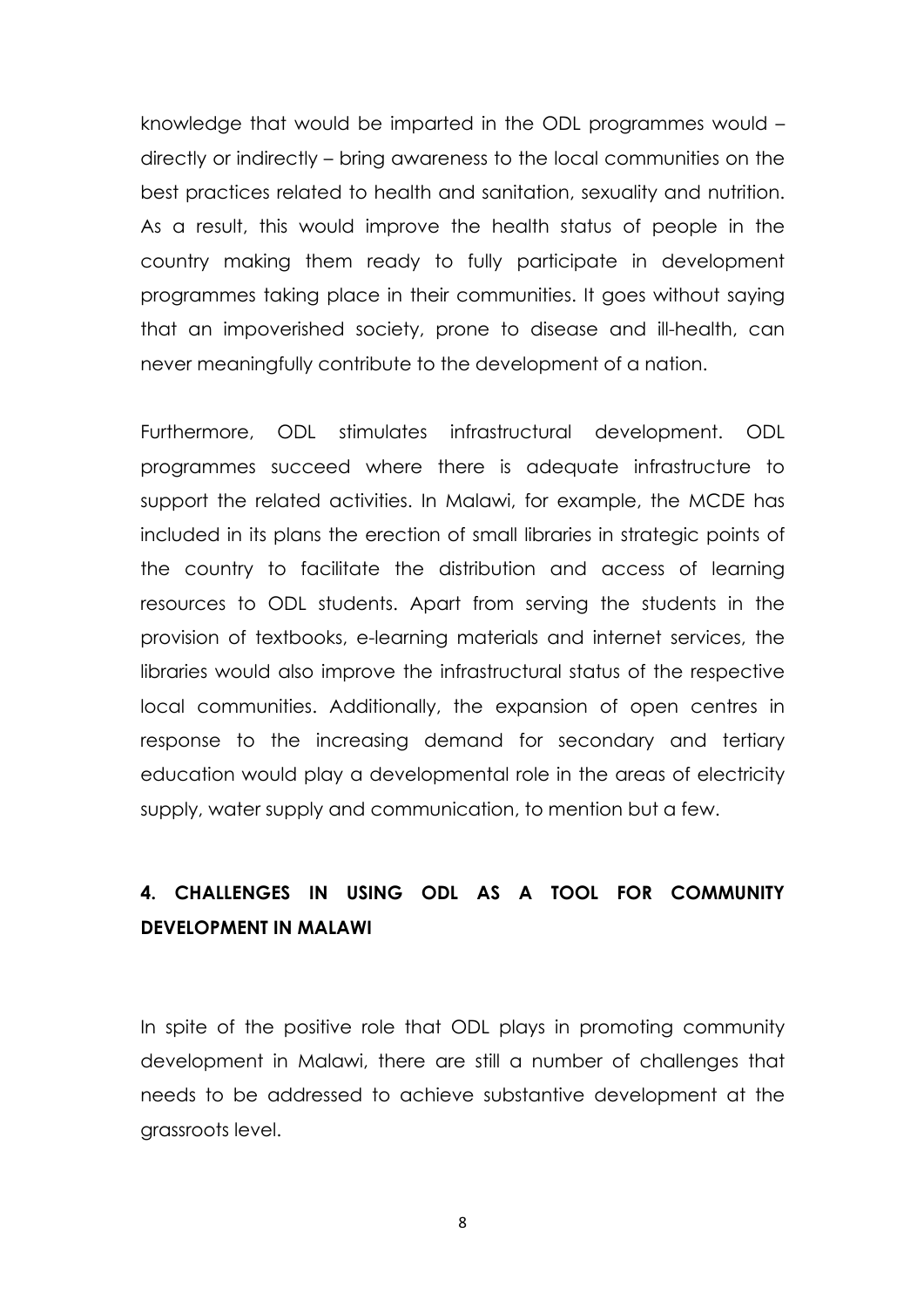knowledge that would be imparted in the ODL programmes would – directly or indirectly – bring awareness to the local communities on the best practices related to health and sanitation, sexuality and nutrition. As a result, this would improve the health status of people in the country making them ready to fully participate in development programmes taking place in their communities. It goes without saying that an impoverished society, prone to disease and ill-health, can never meaningfully contribute to the development of a nation.

Furthermore, ODL stimulates infrastructural development. ODL programmes succeed where there is adequate infrastructure to support the related activities. In Malawi, for example, the MCDE has included in its plans the erection of small libraries in strategic points of the country to facilitate the distribution and access of learning resources to ODL students. Apart from serving the students in the provision of textbooks, e-learning materials and internet services, the libraries would also improve the infrastructural status of the respective local communities. Additionally, the expansion of open centres in response to the increasing demand for secondary and tertiary education would play a developmental role in the areas of electricity supply, water supply and communication, to mention but a few.

# **4. CHALLENGES IN USING ODL AS A TOOL FOR COMMUNITY DEVELOPMENT IN MALAWI**

In spite of the positive role that ODL plays in promoting community development in Malawi, there are still a number of challenges that needs to be addressed to achieve substantive development at the grassroots level.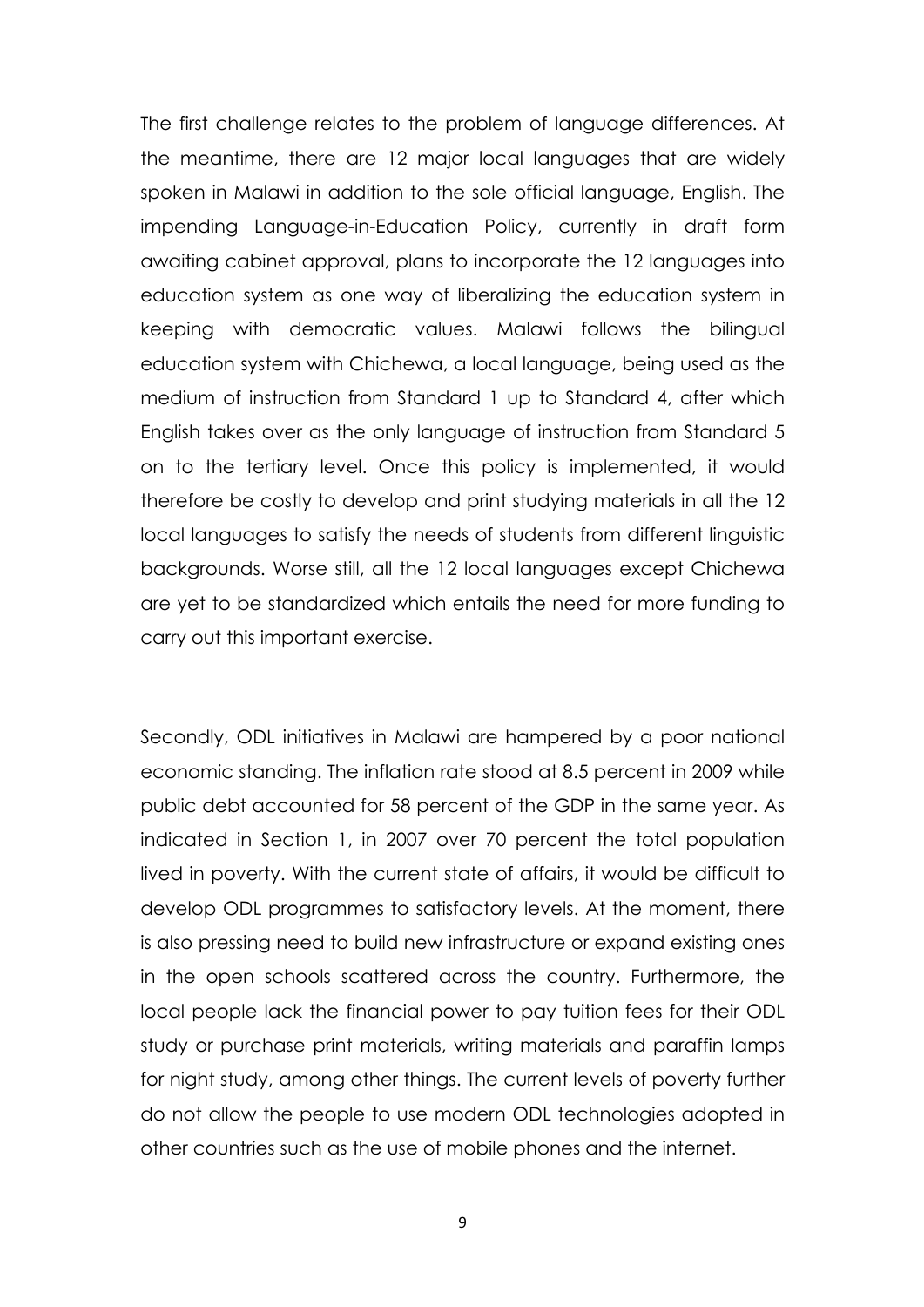The first challenge relates to the problem of language differences. At the meantime, there are 12 major local languages that are widely spoken in Malawi in addition to the sole official language, English. The impending Language-in-Education Policy, currently in draft form awaiting cabinet approval, plans to incorporate the 12 languages into education system as one way of liberalizing the education system in keeping with democratic values. Malawi follows the bilingual education system with Chichewa, a local language, being used as the medium of instruction from Standard 1 up to Standard 4, after which English takes over as the only language of instruction from Standard 5 on to the tertiary level. Once this policy is implemented, it would therefore be costly to develop and print studying materials in all the 12 local languages to satisfy the needs of students from different linguistic backgrounds. Worse still, all the 12 local languages except Chichewa are yet to be standardized which entails the need for more funding to carry out this important exercise.

Secondly, ODL initiatives in Malawi are hampered by a poor national economic standing. The inflation rate stood at 8.5 percent in 2009 while public debt accounted for 58 percent of the GDP in the same year. As indicated in Section 1, in 2007 over 70 percent the total population lived in poverty. With the current state of affairs, it would be difficult to develop ODL programmes to satisfactory levels. At the moment, there is also pressing need to build new infrastructure or expand existing ones in the open schools scattered across the country. Furthermore, the local people lack the financial power to pay tuition fees for their ODL study or purchase print materials, writing materials and paraffin lamps for night study, among other things. The current levels of poverty further do not allow the people to use modern ODL technologies adopted in other countries such as the use of mobile phones and the internet.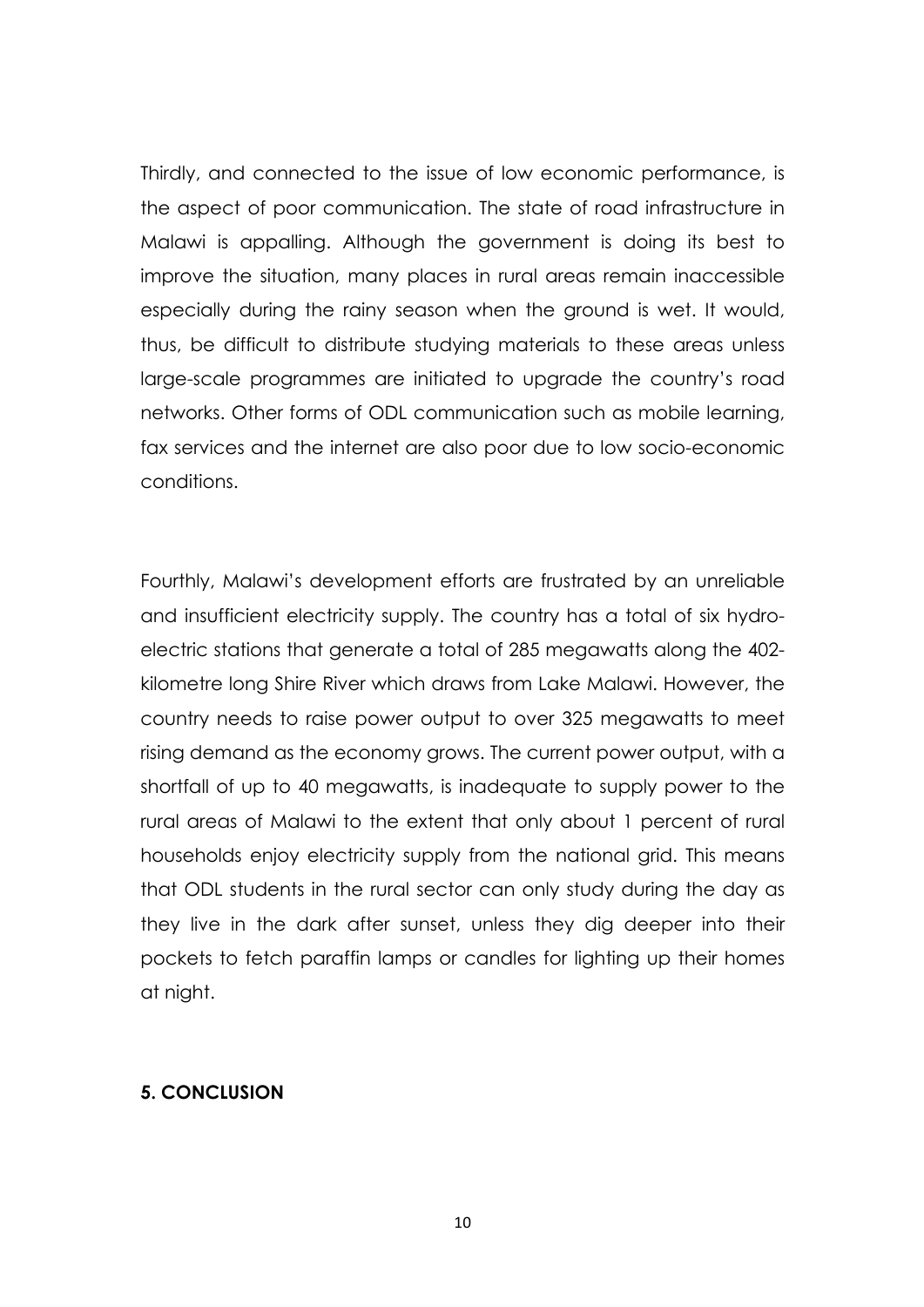Thirdly, and connected to the issue of low economic performance, is the aspect of poor communication. The state of road infrastructure in Malawi is appalling. Although the government is doing its best to improve the situation, many places in rural areas remain inaccessible especially during the rainy season when the ground is wet. It would, thus, be difficult to distribute studying materials to these areas unless large-scale programmes are initiated to upgrade the country's road networks. Other forms of ODL communication such as mobile learning, fax services and the internet are also poor due to low socio-economic conditions.

Fourthly, Malawi's development efforts are frustrated by an unreliable and insufficient electricity supply. The country has a total of six hydroelectric stations that generate a total of 285 megawatts along the 402 kilometre long Shire River which draws from Lake Malawi. However, the country needs to raise power output to over 325 megawatts to meet rising demand as the economy grows. The current power output, with a shortfall of up to 40 megawatts, is inadequate to supply power to the rural areas of Malawi to the extent that only about 1 percent of rural households enjoy electricity supply from the national grid. This means that ODL students in the rural sector can only study during the day as they live in the dark after sunset, unless they dig deeper into their pockets to fetch paraffin lamps or candles for lighting up their homes at night.

# **5. CONCLUSION**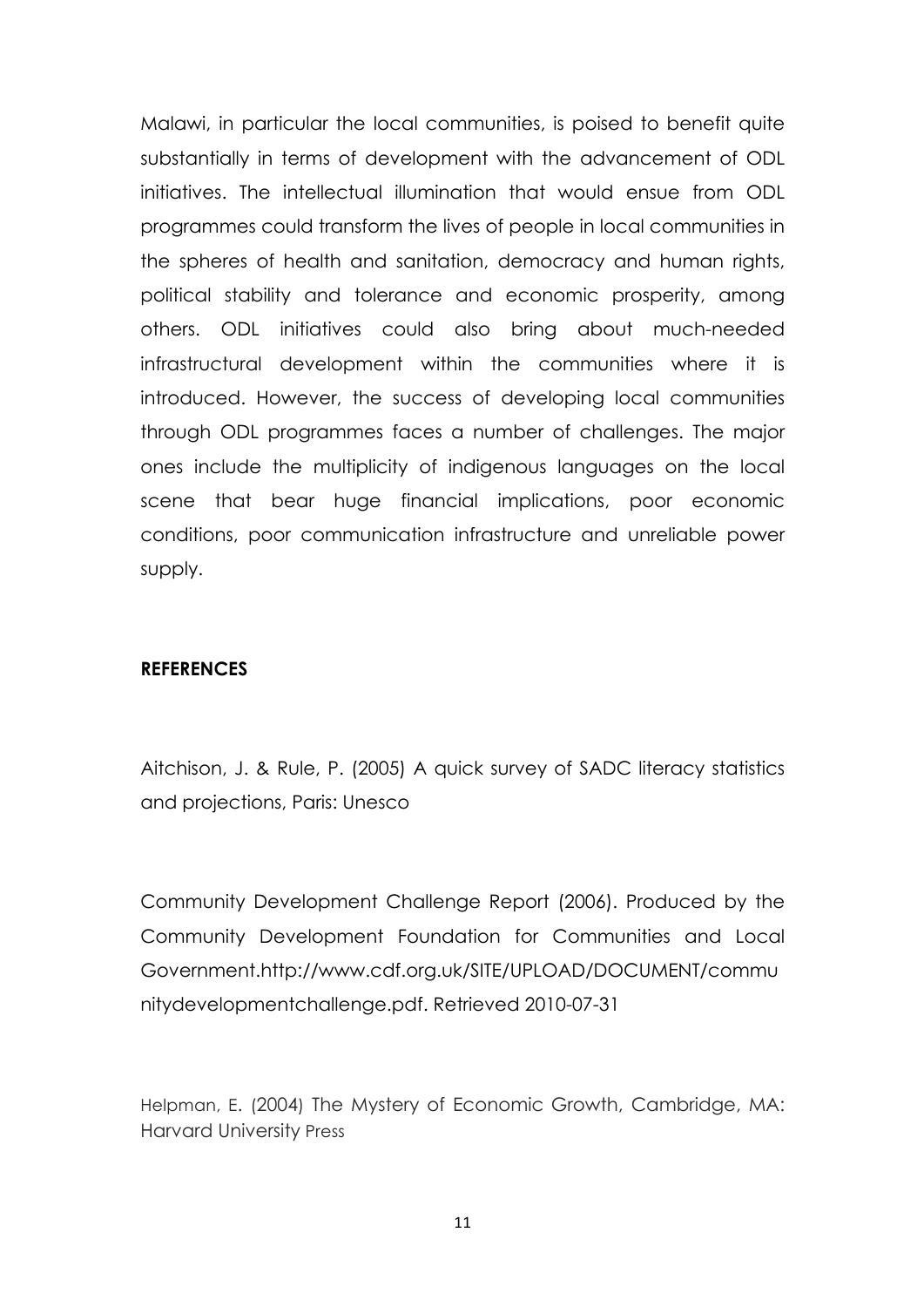Malawi, in particular the local communities, is poised to benefit quite substantially in terms of development with the advancement of ODL initiatives. The intellectual illumination that would ensue from ODL programmes could transform the lives of people in local communities in the spheres of health and sanitation, democracy and human rights, political stability and tolerance and economic prosperity, among others. ODL initiatives could also bring about much-needed infrastructural development within the communities where it is introduced. However, the success of developing local communities through ODL programmes faces a number of challenges. The major ones include the multiplicity of indigenous languages on the local scene that bear huge financial implications, poor economic conditions, poor communication infrastructure and unreliable power supply.

## **REFERENCES**

Aitchison, J. & Rule, P. (2005) A quick survey of SADC literacy statistics and projections, Paris: Unesco

Community Development Challenge Report (2006). Produced by the Community Development Foundation for Communities and Local Government.http://www.cdf.org.uk/SITE/UPLOAD/DOCUMENT/commu nitydevelopmentchallenge.pdf. Retrieved 2010-07-31

Helpman, E. (2004) The Mystery of Economic Growth, Cambridge, MA: Harvard University Press